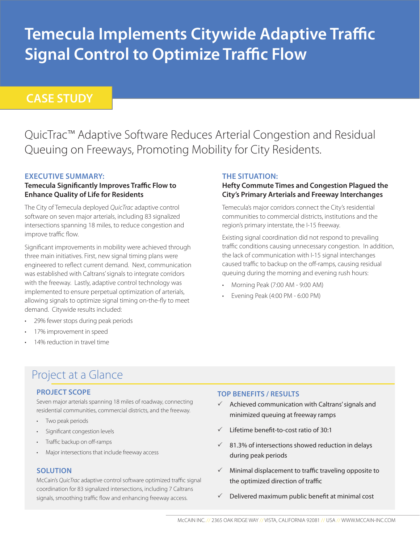# **Temecula Implements Citywide Adaptive Traffic Signal Control to Optimize Traffic Flow**

### **CASE STUDY**

QuicTrac™ Adaptive Software Reduces Arterial Congestion and Residual Queuing on Freeways, Promoting Mobility for City Residents.

### **EXECUTIVE SUMMARY:**

### **Temecula Significantly Improves Traffic Flow to Enhance Quality of Life for Residents**

The City of Temecula deployed *QuicTrac* adaptive control software on seven major arterials, including 83 signalized intersections spanning 18 miles, to reduce congestion and improve traffic flow.

Significant improvements in mobility were achieved through three main initiatives. First, new signal timing plans were engineered to reflect current demand. Next, communication was established with Caltrans' signals to integrate corridors with the freeway. Lastly, adaptive control technology was implemented to ensure perpetual optimization of arterials, allowing signals to optimize signal timing on-the-fly to meet demand. Citywide results included:

- 29% fewer stops during peak periods
- 17% improvement in speed
- 14% reduction in travel time

### **THE SITUATION:**

### **Hefty Commute Times and Congestion Plagued the City's Primary Arterials and Freeway Interchanges**

Temecula's major corridors connect the City's residential communities to commercial districts, institutions and the region's primary interstate, the I-15 freeway.

Existing signal coordination did not respond to prevailing traffic conditions causing unnecessary congestion. In addition, the lack of communication with I-15 signal interchanges caused traffic to backup on the off-ramps, causing residual queuing during the morning and evening rush hours:

- Morning Peak (7:00 AM 9:00 AM)
- Evening Peak (4:00 PM 6:00 PM)

# Project at a Glance

### **PROJECT SCOPE**

Seven major arterials spanning 18 miles of roadway, connecting residential communities, commercial districts, and the freeway.

- Two peak periods
- • Significant congestion levels
- Traffic backup on off-ramps
- Major intersections that include freeway access

### **SOLUTION**

McCain's *QuicTrac* adaptive control software optimized traffic signal coordination for 83 signalized intersections, including 7 Caltrans signals, smoothing traffic flow and enhancing freeway access.

### **TOP BENEFITS / RESULTS**

- $\checkmark$  Achieved communication with Caltrans' signals and minimized queuing at freeway ramps
- $\checkmark$  Lifetime benefit-to-cost ratio of 30:1
- $\checkmark$  81.3% of intersections showed reduction in delays during peak periods
- $\checkmark$  Minimal displacement to traffic traveling opposite to the optimized direction of traffic
- $\checkmark$  Delivered maximum public benefit at minimal cost